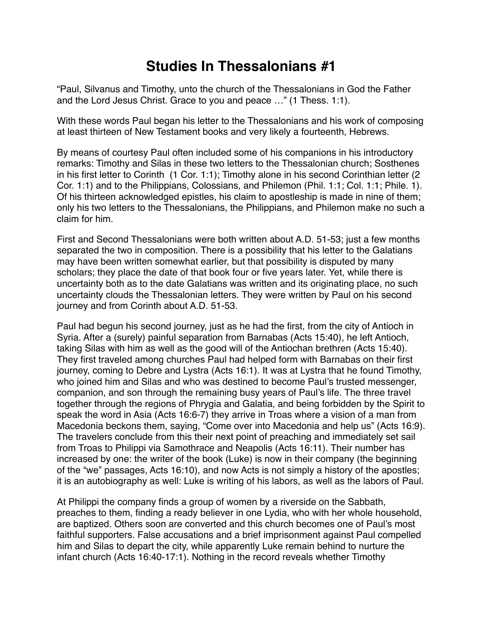## **Studies In Thessalonians #1**

"Paul, Silvanus and Timothy, unto the church of the Thessalonians in God the Father and the Lord Jesus Christ. Grace to you and peace …" (1 Thess. 1:1).

With these words Paul began his letter to the Thessalonians and his work of composing at least thirteen of New Testament books and very likely a fourteenth, Hebrews.

By means of courtesy Paul often included some of his companions in his introductory remarks: Timothy and Silas in these two letters to the Thessalonian church; Sosthenes in his first letter to Corinth (1 Cor. 1:1); Timothy alone in his second Corinthian letter (2 Cor. 1:1) and to the Philippians, Colossians, and Philemon (Phil. 1:1; Col. 1:1; Phile. 1). Of his thirteen acknowledged epistles, his claim to apostleship is made in nine of them; only his two letters to the Thessalonians, the Philippians, and Philemon make no such a claim for him.

First and Second Thessalonians were both written about A.D. 51-53; just a few months separated the two in composition. There is a possibility that his letter to the Galatians may have been written somewhat earlier, but that possibility is disputed by many scholars; they place the date of that book four or five years later. Yet, while there is uncertainty both as to the date Galatians was written and its originating place, no such uncertainty clouds the Thessalonian letters. They were written by Paul on his second journey and from Corinth about A.D. 51-53.

Paul had begun his second journey, just as he had the first, from the city of Antioch in Syria. After a (surely) painful separation from Barnabas (Acts 15:40), he left Antioch, taking Silas with him as well as the good will of the Antiochan brethren (Acts 15:40). They first traveled among churches Paul had helped form with Barnabas on their first journey, coming to Debre and Lystra (Acts 16:1). It was at Lystra that he found Timothy, who joined him and Silas and who was destined to become Paul's trusted messenger, companion, and son through the remaining busy years of Paul's life. The three travel together through the regions of Phrygia and Galatia, and being forbidden by the Spirit to speak the word in Asia (Acts 16:6-7) they arrive in Troas where a vision of a man from Macedonia beckons them, saying, "Come over into Macedonia and help us" (Acts 16:9). The travelers conclude from this their next point of preaching and immediately set sail from Troas to Philippi via Samothrace and Neapolis (Acts 16:11). Their number has increased by one: the writer of the book (Luke) is now in their company (the beginning of the "we" passages, Acts 16:10), and now Acts is not simply a history of the apostles; it is an autobiography as well: Luke is writing of his labors, as well as the labors of Paul.

At Philippi the company finds a group of women by a riverside on the Sabbath, preaches to them, finding a ready believer in one Lydia, who with her whole household, are baptized. Others soon are converted and this church becomes one of Paul's most faithful supporters. False accusations and a brief imprisonment against Paul compelled him and Silas to depart the city, while apparently Luke remain behind to nurture the infant church (Acts 16:40-17:1). Nothing in the record reveals whether Timothy